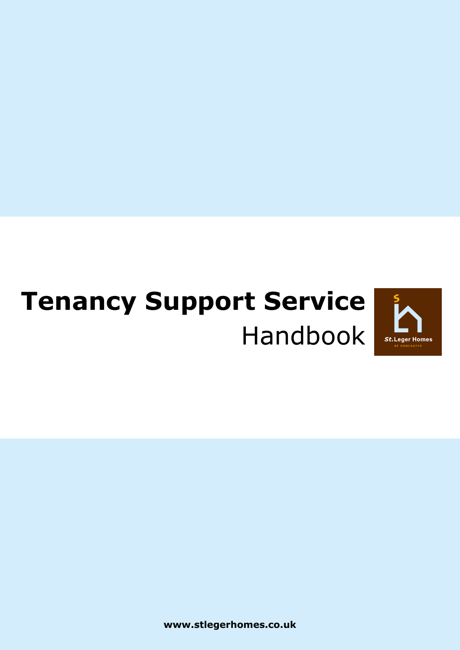# **Tenancy Support Service** Handbook



**www.stlegerhomes.co.uk**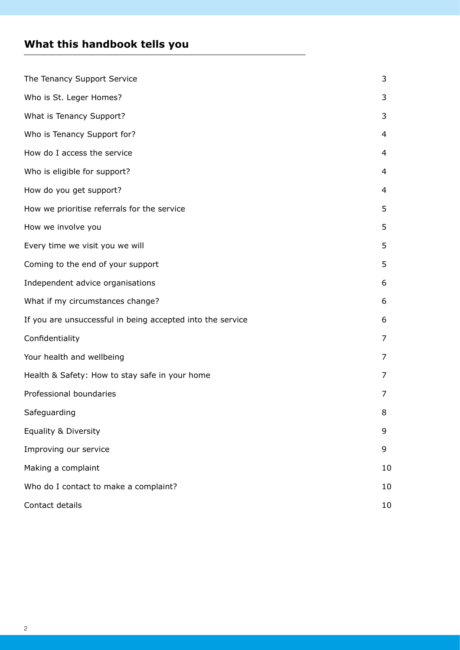# **What this handbook tells you**

| The Tenancy Support Service                                | 3  |
|------------------------------------------------------------|----|
| Who is St. Leger Homes?                                    | 3  |
| What is Tenancy Support?                                   | 3  |
| Who is Tenancy Support for?                                | 4  |
| How do I access the service                                | 4  |
| Who is eligible for support?                               | 4  |
| How do you get support?                                    | 4  |
| How we prioritise referrals for the service                | 5  |
| How we involve you                                         | 5  |
| Every time we visit you we will                            | 5  |
| Coming to the end of your support                          | 5  |
| Independent advice organisations                           | 6  |
| What if my circumstances change?                           | 6  |
| If you are unsuccessful in being accepted into the service | 6  |
| Confidentiality                                            | 7  |
| Your health and wellbeing                                  | 7  |
| Health & Safety: How to stay safe in your home             | 7  |
| Professional boundaries                                    | 7  |
| Safeguarding                                               | 8  |
| <b>Equality &amp; Diversity</b>                            | 9  |
| Improving our service                                      | 9  |
| Making a complaint                                         | 10 |
| Who do I contact to make a complaint?                      | 10 |
| Contact details                                            | 10 |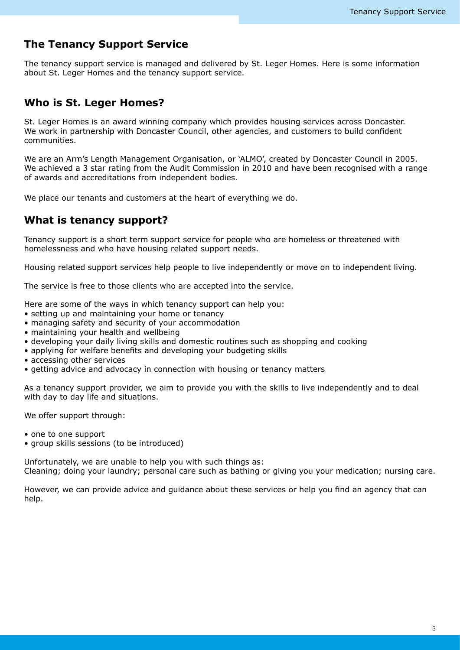# **The Tenancy Support Service**

The tenancy support service is managed and delivered by St. Leger Homes. Here is some information about St. Leger Homes and the tenancy support service.

# **Who is St. Leger Homes?**

St. Leger Homes is an award winning company which provides housing services across Doncaster. We work in partnership with Doncaster Council, other agencies, and customers to build confident communities.

We are an Arm's Length Management Organisation, or 'ALMO', created by Doncaster Council in 2005. We achieved a 3 star rating from the Audit Commission in 2010 and have been recognised with a range of awards and accreditations from independent bodies.

We place our tenants and customers at the heart of everything we do.

# **What is tenancy support?**

Tenancy support is a short term support service for people who are homeless or threatened with homelessness and who have housing related support needs.

Housing related support services help people to live independently or move on to independent living.

The service is free to those clients who are accepted into the service.

Here are some of the ways in which tenancy support can help you:

- setting up and maintaining your home or tenancy
- managing safety and security of your accommodation
- maintaining your health and wellbeing
- developing your daily living skills and domestic routines such as shopping and cooking
- applying for welfare benefits and developing your budgeting skills
- accessing other services
- getting advice and advocacy in connection with housing or tenancy matters

As a tenancy support provider, we aim to provide you with the skills to live independently and to deal with day to day life and situations.

We offer support through:

- one to one support
- group skills sessions (to be introduced)

Unfortunately, we are unable to help you with such things as: Cleaning; doing your laundry; personal care such as bathing or giving you your medication; nursing care.

However, we can provide advice and guidance about these services or help you find an agency that can help.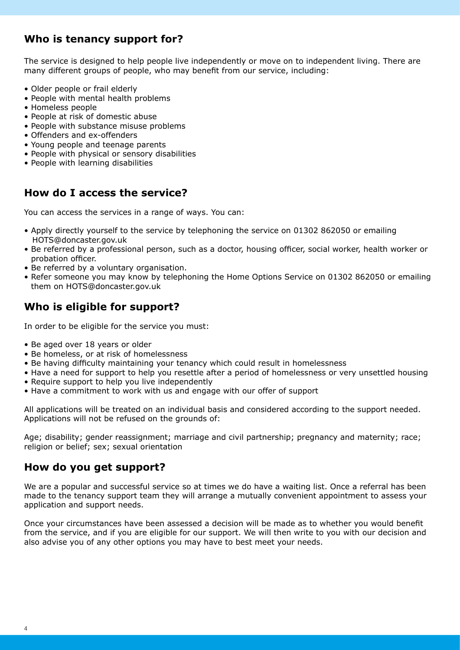# **Who is tenancy support for?**

The service is designed to help people live independently or move on to independent living. There are many different groups of people, who may benefit from our service, including:

- Older people or frail elderly
- People with mental health problems
- Homeless people
- People at risk of domestic abuse
- People with substance misuse problems
- Offenders and ex-offenders
- Young people and teenage parents
- People with physical or sensory disabilities
- People with learning disabilities

# **How do I access the service?**

You can access the services in a range of ways. You can:

- Apply directly yourself to the service by telephoning the service on 01302 862050 or emailing HOTS@doncaster.gov.uk
- Be referred by a professional person, such as a doctor, housing officer, social worker, health worker or probation officer.
- Be referred by a voluntary organisation.
- Refer someone you may know by telephoning the Home Options Service on 01302 862050 or emailing them on HOTS@doncaster.gov.uk

# **Who is eligible for support?**

In order to be eligible for the service you must:

- Be aged over 18 years or older
- Be homeless, or at risk of homelessness
- Be having difficulty maintaining your tenancy which could result in homelessness
- Have a need for support to help you resettle after a period of homelessness or very unsettled housing • Require support to help you live independently
- Have a commitment to work with us and engage with our offer of support

All applications will be treated on an individual basis and considered according to the support needed. Applications will not be refused on the grounds of:

Age; disability; gender reassignment; marriage and civil partnership; pregnancy and maternity; race; religion or belief; sex; sexual orientation

# **How do you get support?**

We are a popular and successful service so at times we do have a waiting list. Once a referral has been made to the tenancy support team they will arrange a mutually convenient appointment to assess your application and support needs.

Once your circumstances have been assessed a decision will be made as to whether you would benefit from the service, and if you are eligible for our support. We will then write to you with our decision and also advise you of any other options you may have to best meet your needs.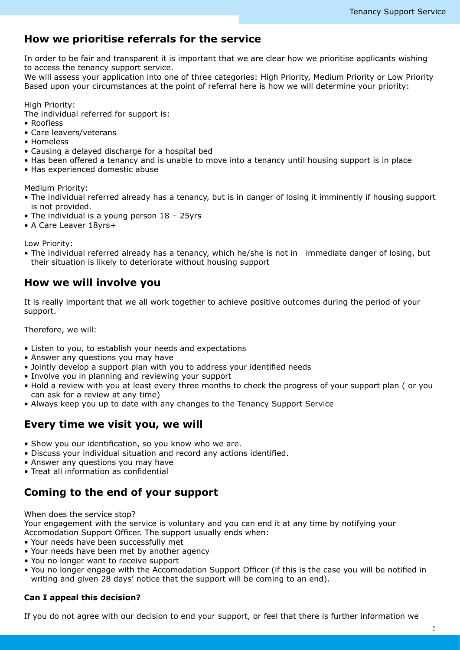# **How we prioritise referrals for the service**

In order to be fair and transparent it is important that we are clear how we prioritise applicants wishing to access the tenancy support service.

We will assess your application into one of three categories: High Priority, Medium Priority or Low Priority Based upon your circumstances at the point of referral here is how we will determine your priority:

High Priority:

The individual referred for support is:

- Roofless
- Care leavers/veterans
- Homeless
- Causing a delayed discharge for a hospital bed
- Has been offered a tenancy and is unable to move into a tenancy until housing support is in place
- Has experienced domestic abuse

Medium Priority:

- The individual referred already has a tenancy, but is in danger of losing it imminently if housing support is not provided.
- The individual is a young person 18 25yrs
- A Care Leaver 18yrs+

Low Priority:

• The individual referred already has a tenancy, which he/she is not in immediate danger of losing, but their situation is likely to deteriorate without housing support

# **How we will involve you**

It is really important that we all work together to achieve positive outcomes during the period of your support.

Therefore, we will:

- Listen to you, to establish your needs and expectations
- Answer any questions you may have
- Jointly develop a support plan with you to address your identified needs
- Involve you in planning and reviewing your support
- Hold a review with you at least every three months to check the progress of your support plan ( or you can ask for a review at any time)
- Always keep you up to date with any changes to the Tenancy Support Service

## **Every time we visit you, we will**

- Show you our identification, so you know who we are.
- Discuss your individual situation and record any actions identified.
- Answer any questions you may have
- Treat all information as confidential

# **Coming to the end of your support**

When does the service stop? Your engagement with the service is voluntary and you can end it at any time by notifying your

- Accomodation Support Officer. The support usually ends when:
- Your needs have been successfully met
- Your needs have been met by another agency
- You no longer want to receive support
- You no longer engage with the Accomodation Support Officer (if this is the case you will be notified in writing and given 28 days' notice that the support will be coming to an end).

## **Can I appeal this decision?**

If you do not agree with our decision to end your support, or feel that there is further information we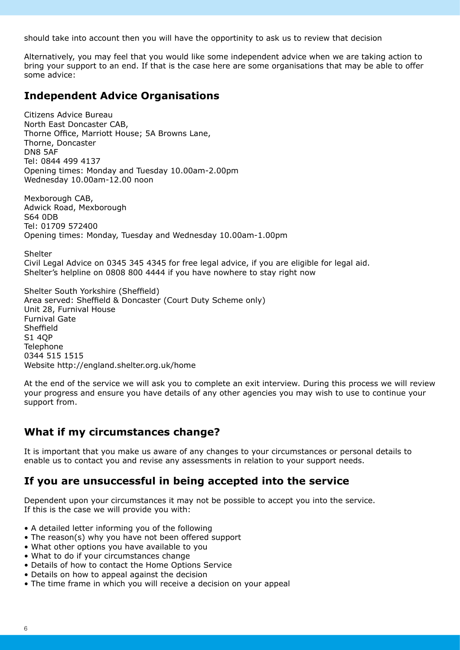should take into account then you will have the opportinity to ask us to review that decision

Alternatively, you may feel that you would like some independent advice when we are taking action to bring your support to an end. If that is the case here are some organisations that may be able to offer some advice:

# **Independent Advice Organisations**

Citizens Advice Bureau North East Doncaster CAB, Thorne Office, Marriott House; 5A Browns Lane, Thorne, Doncaster DN8 5AF Tel: 0844 499 4137 Opening times: Monday and Tuesday 10.00am-2.00pm Wednesday 10.00am-12.00 noon

Mexborough CAB, Adwick Road, Mexborough S64 0DB Tel: 01709 572400 Opening times: Monday, Tuesday and Wednesday 10.00am-1.00pm

Shelter Civil Legal Advice on 0345 345 4345 for free legal advice, if you are eligible for legal aid. Shelter's helpline on 0808 800 4444 if you have nowhere to stay right now

Shelter South Yorkshire (Sheffield) Area served: Sheffield & Doncaster (Court Duty Scheme only) Unit 28, Furnival House Furnival Gate Sheffield S1 4QP **Telephone** 0344 515 1515 Website http://england.shelter.org.uk/home

At the end of the service we will ask you to complete an exit interview. During this process we will review your progress and ensure you have details of any other agencies you may wish to use to continue your support from.

# **What if my circumstances change?**

It is important that you make us aware of any changes to your circumstances or personal details to enable us to contact you and revise any assessments in relation to your support needs.

# **If you are unsuccessful in being accepted into the service**

Dependent upon your circumstances it may not be possible to accept you into the service. If this is the case we will provide you with:

- A detailed letter informing you of the following
- The reason(s) why you have not been offered support
- What other options you have available to you
- What to do if your circumstances change
- Details of how to contact the Home Options Service
- Details on how to appeal against the decision
- The time frame in which you will receive a decision on your appeal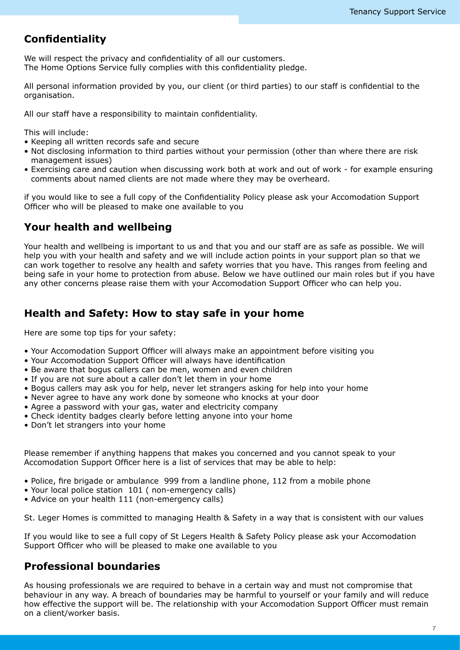# **Confidentiality**

We will respect the privacy and confidentiality of all our customers. The Home Options Service fully complies with this confidentiality pledge.

All personal information provided by you, our client (or third parties) to our staff is confidential to the organisation.

All our staff have a responsibility to maintain confidentiality.

This will include:

- Keeping all written records safe and secure
- Not disclosing information to third parties without your permission (other than where there are risk management issues)
- Exercising care and caution when discussing work both at work and out of work for example ensuring comments about named clients are not made where they may be overheard.

if you would like to see a full copy of the Confidentiality Policy please ask your Accomodation Support Officer who will be pleased to make one available to you

# **Your health and wellbeing**

Your health and wellbeing is important to us and that you and our staff are as safe as possible. We will help you with your health and safety and we will include action points in your support plan so that we can work together to resolve any health and safety worries that you have. This ranges from feeling and being safe in your home to protection from abuse. Below we have outlined our main roles but if you have any other concerns please raise them with your Accomodation Support Officer who can help you.

# **Health and Safety: How to stay safe in your home**

Here are some top tips for your safety:

- Your Accomodation Support Officer will always make an appointment before visiting you
- Your Accomodation Support Officer will always have identification
- Be aware that bogus callers can be men, women and even children
- If you are not sure about a caller don't let them in your home
- Bogus callers may ask you for help, never let strangers asking for help into your home
- Never agree to have any work done by someone who knocks at your door
- Agree a password with your gas, water and electricity company
- Check identity badges clearly before letting anyone into your home
- Don't let strangers into your home

Please remember if anything happens that makes you concerned and you cannot speak to your Accomodation Support Officer here is a list of services that may be able to help:

- Police, fire brigade or ambulance 999 from a landline phone, 112 from a mobile phone
- Your local police station 101 ( non-emergency calls)
- Advice on your health 111 (non-emergency calls)

St. Leger Homes is committed to managing Health & Safety in a way that is consistent with our values

If you would like to see a full copy of St Legers Health & Safety Policy please ask your Accomodation Support Officer who will be pleased to make one available to you

# **Professional boundaries**

As housing professionals we are required to behave in a certain way and must not compromise that behaviour in any way. A breach of boundaries may be harmful to yourself or your family and will reduce how effective the support will be. The relationship with your Accomodation Support Officer must remain on a client/worker basis.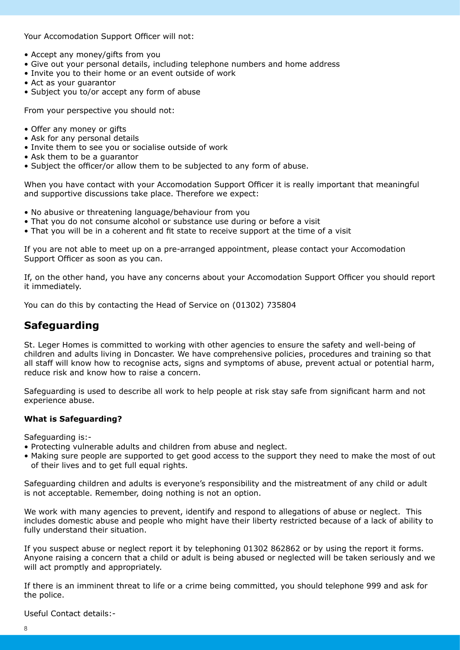Your Accomodation Support Officer will not:

- Accept any money/gifts from you
- Give out your personal details, including telephone numbers and home address
- Invite you to their home or an event outside of work
- Act as your guarantor
- Subject you to/or accept any form of abuse

From your perspective you should not:

- Offer any money or gifts
- Ask for any personal details
- Invite them to see you or socialise outside of work
- Ask them to be a guarantor
- Subject the officer/or allow them to be subjected to any form of abuse.

When you have contact with your Accomodation Support Officer it is really important that meaningful and supportive discussions take place. Therefore we expect:

- No abusive or threatening language/behaviour from you
- That you do not consume alcohol or substance use during or before a visit
- That you will be in a coherent and fit state to receive support at the time of a visit

If you are not able to meet up on a pre-arranged appointment, please contact your Accomodation Support Officer as soon as you can.

If, on the other hand, you have any concerns about your Accomodation Support Officer you should report it immediately.

You can do this by contacting the Head of Service on (01302) 735804

## **Safeguarding**

St. Leger Homes is committed to working with other agencies to ensure the safety and well-being of children and adults living in Doncaster. We have comprehensive policies, procedures and training so that all staff will know how to recognise acts, signs and symptoms of abuse, prevent actual or potential harm, reduce risk and know how to raise a concern.

Safeguarding is used to describe all work to help people at risk stay safe from significant harm and not experience abuse.

## **What is Safeguarding?**

Safeguarding is:-

- Protecting vulnerable adults and children from abuse and neglect.
- Making sure people are supported to get good access to the support they need to make the most of out of their lives and to get full equal rights.

Safeguarding children and adults is everyone's responsibility and the mistreatment of any child or adult is not acceptable. Remember, doing nothing is not an option.

We work with many agencies to prevent, identify and respond to allegations of abuse or neglect. This includes domestic abuse and people who might have their liberty restricted because of a lack of ability to fully understand their situation.

If you suspect abuse or neglect report it by telephoning 01302 862862 or by using the report it forms. Anyone raising a concern that a child or adult is being abused or neglected will be taken seriously and we will act promptly and appropriately.

If there is an imminent threat to life or a crime being committed, you should telephone 999 and ask for the police.

Useful Contact details:-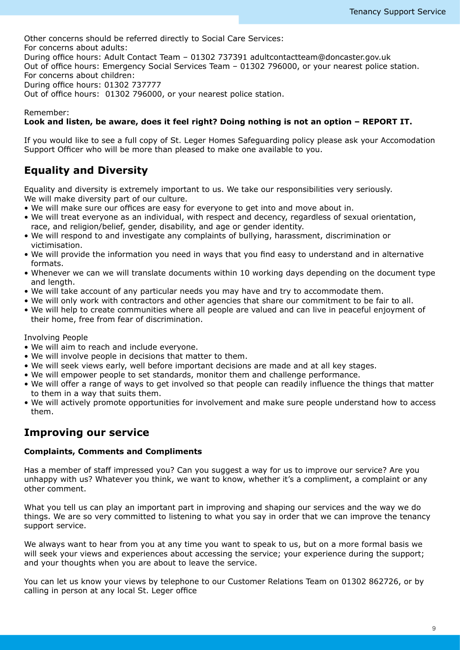Other concerns should be referred directly to Social Care Services: For concerns about adults: During office hours: Adult Contact Team – 01302 737391 adultcontactteam@doncaster.gov.uk Out of office hours: Emergency Social Services Team – 01302 796000, or your nearest police station. For concerns about children: During office hours: 01302 737777 Out of office hours: 01302 796000, or your nearest police station.

## Remember:

#### **Look and listen, be aware, does it feel right? Doing nothing is not an option – REPORT IT.**

If you would like to see a full copy of St. Leger Homes Safeguarding policy please ask your Accomodation Support Officer who will be more than pleased to make one available to you.

# **Equality and Diversity**

Equality and diversity is extremely important to us. We take our responsibilities very seriously. We will make diversity part of our culture.

- We will make sure our offices are easy for everyone to get into and move about in.
- We will treat everyone as an individual, with respect and decency, regardless of sexual orientation, race, and religion/belief, gender, disability, and age or gender identity.
- We will respond to and investigate any complaints of bullying, harassment, discrimination or victimisation.
- We will provide the information you need in ways that you find easy to understand and in alternative formats.
- Whenever we can we will translate documents within 10 working days depending on the document type and length.
- We will take account of any particular needs you may have and try to accommodate them.
- We will only work with contractors and other agencies that share our commitment to be fair to all.
- We will help to create communities where all people are valued and can live in peaceful enjoyment of their home, free from fear of discrimination.

Involving People

- We will aim to reach and include everyone.
- We will involve people in decisions that matter to them.
- We will seek views early, well before important decisions are made and at all key stages.
- We will empower people to set standards, monitor them and challenge performance.
- We will offer a range of ways to get involved so that people can readily influence the things that matter to them in a way that suits them.
- We will actively promote opportunities for involvement and make sure people understand how to access them.

## **Improving our service**

## **Complaints, Comments and Compliments**

Has a member of staff impressed you? Can you suggest a way for us to improve our service? Are you unhappy with us? Whatever you think, we want to know, whether it's a compliment, a complaint or any other comment.

What you tell us can play an important part in improving and shaping our services and the way we do things. We are so very committed to listening to what you say in order that we can improve the tenancy support service.

We always want to hear from you at any time you want to speak to us, but on a more formal basis we will seek your views and experiences about accessing the service; your experience during the support; and your thoughts when you are about to leave the service.

You can let us know your views by telephone to our Customer Relations Team on 01302 862726, or by calling in person at any local St. Leger office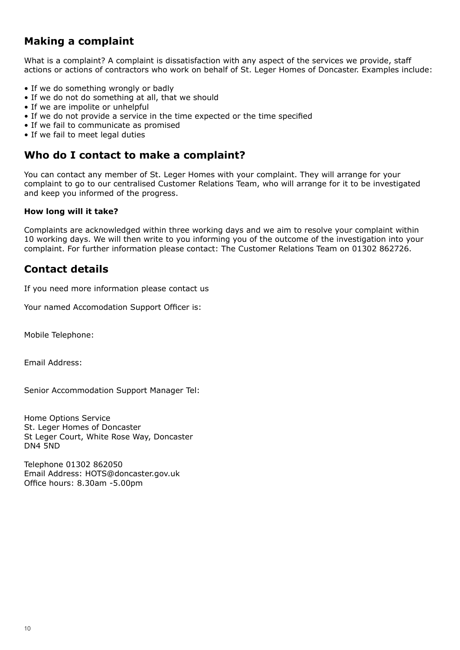# **Making a complaint**

What is a complaint? A complaint is dissatisfaction with any aspect of the services we provide, staff actions or actions of contractors who work on behalf of St. Leger Homes of Doncaster. Examples include:

- If we do something wrongly or badly
- If we do not do something at all, that we should
- If we are impolite or unhelpful
- If we do not provide a service in the time expected or the time specified
- If we fail to communicate as promised
- If we fail to meet legal duties

## **Who do I contact to make a complaint?**

You can contact any member of St. Leger Homes with your complaint. They will arrange for your complaint to go to our centralised Customer Relations Team, who will arrange for it to be investigated and keep you informed of the progress.

## **How long will it take?**

Complaints are acknowledged within three working days and we aim to resolve your complaint within 10 working days. We will then write to you informing you of the outcome of the investigation into your complaint. For further information please contact: The Customer Relations Team on 01302 862726.

# **Contact details**

If you need more information please contact us

Your named Accomodation Support Officer is:

Mobile Telephone:

Email Address:

Senior Accommodation Support Manager Tel:

Home Options Service St. Leger Homes of Doncaster St Leger Court, White Rose Way, Doncaster DN4 5ND

Telephone 01302 862050 Email Address: HOTS@doncaster.gov.uk Office hours: 8.30am -5.00pm